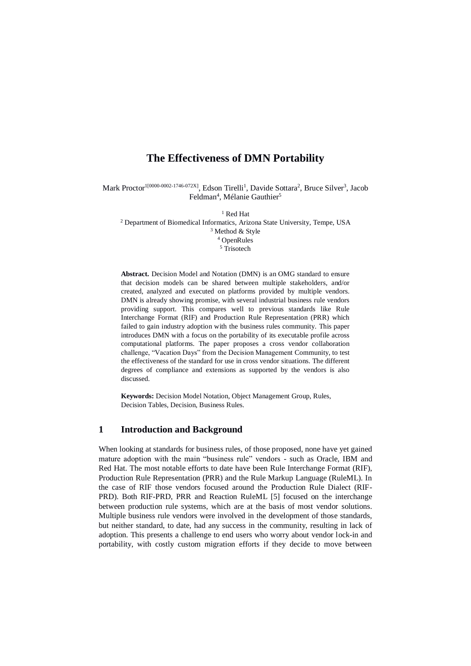# **The Effectiveness of DMN Portability**

Mark Proctor<sup>1[0000-0002-1746-072X]</sup>, Edson Tirelli<sup>1</sup>, Davide Sottara<sup>2</sup>, Bruce Silver<sup>3</sup>, Jacob Feldman<sup>4</sup>, Mélanie Gauthier<sup>5</sup>

<sup>1</sup> Red Hat <sup>2</sup> Department of Biomedical Informatics, Arizona State University, Tempe, USA <sup>3</sup> Method & Style <sup>4</sup> OpenRules <sup>5</sup> Trisotech

**Abstract.** Decision Model and Notation (DMN) is an OMG standard to ensure that decision models can be shared between multiple stakeholders, and/or created, analyzed and executed on platforms provided by multiple vendors. DMN is already showing promise, with several industrial business rule vendors providing support. This compares well to previous standards like Rule Interchange Format (RIF) and Production Rule Representation (PRR) which failed to gain industry adoption with the business rules community. This paper introduces DMN with a focus on the portability of its executable profile across computational platforms. The paper proposes a cross vendor collaboration challenge, "Vacation Days" from the Decision Management Community, to test the effectiveness of the standard for use in cross vendor situations. The different degrees of compliance and extensions as supported by the vendors is also discussed.

**Keywords:** Decision Model Notation, Object Management Group, Rules, Decision Tables, Decision, Business Rules.

## **1 Introduction and Background**

When looking at standards for business rules, of those proposed, none have yet gained mature adoption with the main "business rule" vendors - such as Oracle, IBM and Red Hat. The most notable efforts to date have been Rule Interchange Format (RIF), Production Rule Representation (PRR) and the Rule Markup Language (RuleML). In the case of RIF those vendors focused around the Production Rule Dialect (RIF-PRD). Both RIF-PRD, PRR and Reaction RuleML [\[5\]](#page-13-0) focused on the interchange between production rule systems, which are at the basis of most vendor solutions. Multiple business rule vendors were involved in the development of those standards, but neither standard, to date, had any success in the community, resulting in lack of adoption. This presents a challenge to end users who worry about vendor lock-in and portability, with costly custom migration efforts if they decide to move between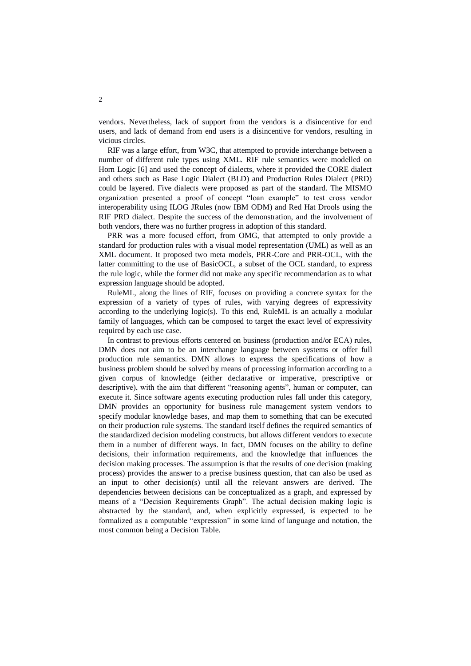vendors. Nevertheless, lack of support from the vendors is a disincentive for end users, and lack of demand from end users is a disincentive for vendors, resulting in vicious circles.

RIF was a large effort, from W3C, that attempted to provide interchange between a number of different rule types using XML. RIF rule semantics were modelled on Horn Logic [\[6\]](#page-13-1) and used the concept of dialects, where it provided the CORE dialect and others such as Base Logic Dialect (BLD) and Production Rules Dialect (PRD) could be layered. Five dialects were proposed as part of the standard. The MISMO organization presented a proof of concept "loan example" to test cross vendor interoperability using ILOG JRules (now IBM ODM) and Red Hat Drools using the RIF PRD dialect. Despite the success of the demonstration, and the involvement of both vendors, there was no further progress in adoption of this standard.

PRR was a more focused effort, from OMG, that attempted to only provide a standard for production rules with a visual model representation (UML) as well as an XML document. It proposed two meta models, PRR-Core and PRR-OCL, with the latter committing to the use of BasicOCL, a subset of the OCL standard, to express the rule logic, while the former did not make any specific recommendation as to what expression language should be adopted.

RuleML, along the lines of RIF, focuses on providing a concrete syntax for the expression of a variety of types of rules, with varying degrees of expressivity according to the underlying logic(s). To this end, RuleML is an actually a modular family of languages, which can be composed to target the exact level of expressivity required by each use case.

In contrast to previous efforts centered on business (production and/or ECA) rules, DMN does not aim to be an interchange language between systems or offer full production rule semantics. DMN allows to express the specifications of how a business problem should be solved by means of processing information according to a given corpus of knowledge (either declarative or imperative, prescriptive or descriptive), with the aim that different "reasoning agents", human or computer, can execute it. Since software agents executing production rules fall under this category, DMN provides an opportunity for business rule management system vendors to specify modular knowledge bases, and map them to something that can be executed on their production rule systems. The standard itself defines the required semantics of the standardized decision modeling constructs, but allows different vendors to execute them in a number of different ways. In fact, DMN focuses on the ability to define decisions, their information requirements, and the knowledge that influences the decision making processes. The assumption is that the results of one decision (making process) provides the answer to a precise business question, that can also be used as an input to other decision(s) until all the relevant answers are derived. The dependencies between decisions can be conceptualized as a graph, and expressed by means of a "Decision Requirements Graph". The actual decision making logic is abstracted by the standard, and, when explicitly expressed, is expected to be formalized as a computable "expression" in some kind of language and notation, the most common being a Decision Table.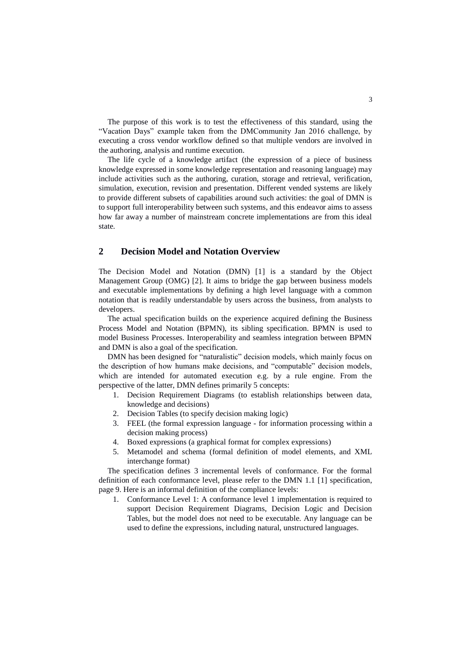The purpose of this work is to test the effectiveness of this standard, using the "Vacation Days" example taken from the DMCommunity Jan 2016 challenge, by executing a cross vendor workflow defined so that multiple vendors are involved in the authoring, analysis and runtime execution.

The life cycle of a knowledge artifact (the expression of a piece of business knowledge expressed in some knowledge representation and reasoning language) may include activities such as the authoring, curation, storage and retrieval, verification, simulation, execution, revision and presentation. Different vended systems are likely to provide different subsets of capabilities around such activities: the goal of DMN is to support full interoperability between such systems, and this endeavor aims to assess how far away a number of mainstream concrete implementations are from this ideal state.

## **2 Decision Model and Notation Overview**

The Decision Model and Notation (DMN) [\[1\]](#page-12-0) is a standard by the Object Management Group (OMG) [\[2\]](#page-12-1). It aims to bridge the gap between business models and executable implementations by defining a high level language with a common notation that is readily understandable by users across the business, from analysts to developers.

The actual specification builds on the experience acquired defining the Business Process Model and Notation (BPMN), its sibling specification. BPMN is used to model Business Processes. Interoperability and seamless integration between BPMN and DMN is also a goal of the specification.

DMN has been designed for "naturalistic" decision models, which mainly focus on the description of how humans make decisions, and "computable" decision models, which are intended for automated execution e.g. by a rule engine. From the perspective of the latter, DMN defines primarily 5 concepts:

- 1. Decision Requirement Diagrams (to establish relationships between data, knowledge and decisions)
- 2. Decision Tables (to specify decision making logic)
- 3. FEEL (the formal expression language for information processing within a decision making process)
- 4. Boxed expressions (a graphical format for complex expressions)
- 5. Metamodel and schema (formal definition of model elements, and XML interchange format)

The specification defines 3 incremental levels of conformance. For the formal definition of each conformance level, please refer to the DMN 1.1 [\[1\]](#page-12-0) specification, page 9. Here is an informal definition of the compliance levels:

1. Conformance Level 1: A conformance level 1 implementation is required to support Decision Requirement Diagrams, Decision Logic and Decision Tables, but the model does not need to be executable. Any language can be used to define the expressions, including natural, unstructured languages.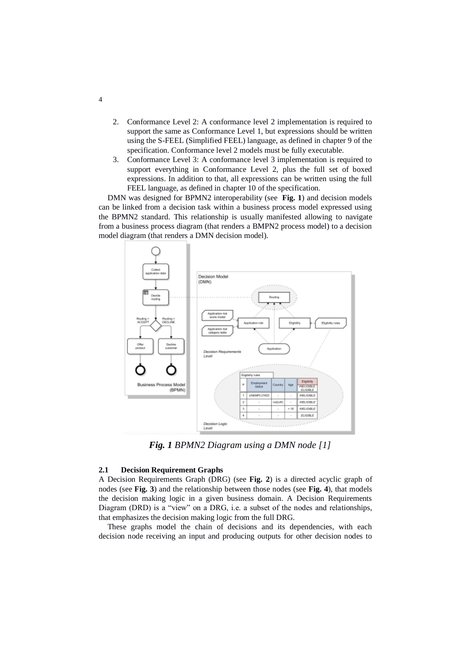- 2. Conformance Level 2: A conformance level 2 implementation is required to support the same as Conformance Level 1, but expressions should be written using the S-FEEL (Simplified FEEL) language, as defined in chapter 9 of the specification. Conformance level 2 models must be fully executable.
- 3. Conformance Level 3: A conformance level 3 implementation is required to support everything in Conformance Level 2, plus the full set of boxed expressions. In addition to that, all expressions can be written using the full FEEL language, as defined in chapter 10 of the specification.

DMN was designed for BPMN2 interoperability (see **[Fig. 1](#page-3-0)**) and decision models can be linked from a decision task within a business process model expressed using the BPMN2 standard. This relationship is usually manifested allowing to navigate from a business process diagram (that renders a BMPN2 process model) to a decision model diagram (that renders a DMN decision model).



*Fig. 1 BPMN2 Diagram using a DMN node [\[1\]](#page-12-0)*

#### <span id="page-3-0"></span>**2.1 Decision Requirement Graphs**

A Decision Requirements Graph (DRG) (see **[Fig. 2](#page-4-0)**) is a directed acyclic graph of nodes (see **[Fig. 3](#page-4-1)**) and the relationship between those nodes (see **[Fig. 4](#page-5-0)**), that models the decision making logic in a given business domain. A Decision Requirements Diagram (DRD) is a "view" on a DRG, i.e. a subset of the nodes and relationships, that emphasizes the decision making logic from the full DRG.

These graphs model the chain of decisions and its dependencies, with each decision node receiving an input and producing outputs for other decision nodes to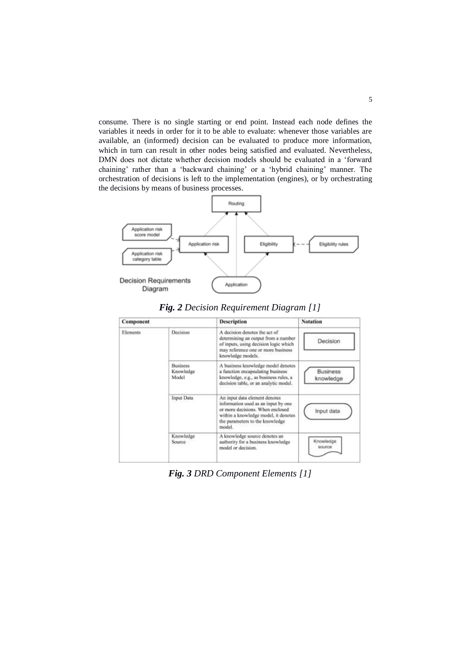consume. There is no single starting or end point. Instead each node defines the variables it needs in order for it to be able to evaluate: whenever those variables are available, an (informed) decision can be evaluated to produce more information, which in turn can result in other nodes being satisfied and evaluated. Nevertheless, DMN does not dictate whether decision models should be evaluated in a 'forward chaining' rather than a 'backward chaining' or a 'hybrid chaining' manner. The orchestration of decisions is left to the implementation (engines), or by orchestrating the decisions by means of business processes.



<span id="page-4-0"></span>

| Component |                                       | <b>Description</b>                                                                                                                                                                            | <b>Notation</b>              |  |
|-----------|---------------------------------------|-----------------------------------------------------------------------------------------------------------------------------------------------------------------------------------------------|------------------------------|--|
| Elements  | Decision                              | A decision denotes the act of<br>determining an output from a number<br>of inputs, using decision logic which<br>may reference one or more business<br>knowledge models.                      | Decision                     |  |
|           | <b>Hasiness</b><br>Knowledge<br>Model | A business knowledge model denotes<br>a function encapsulating business<br>knowledge, e.g., as business rules, a<br>decision table, or an analytic model.                                     | <b>Business</b><br>knowledge |  |
|           | <b>Input Data</b>                     | An input data element denotes<br>information used as an input by one<br>or more decisions. When enclosed<br>within a knowledge model, it denotes<br>the parameters to the knowledge<br>model. | Input data                   |  |
|           | Knowledge<br>Source                   | A knowledge source denotes an<br>authority for a business knowledge<br>model or decision.                                                                                                     | Knowledge<br>source          |  |

*Fig. 2 Decision Requirement Diagram [\[1\]](#page-12-0)*

<span id="page-4-1"></span>*Fig. 3 DRD Component Elements [\[1\]](#page-12-0)*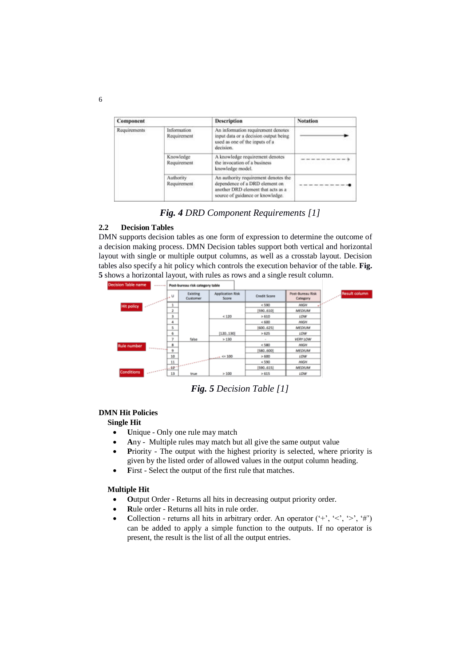| Component           |                                 | <b>Description</b>                                                                                                                               | <b>Notation</b> |
|---------------------|---------------------------------|--------------------------------------------------------------------------------------------------------------------------------------------------|-----------------|
| <b>Requirements</b> | Information<br>Requirement      | An information requirement denotes<br>input data or a decision output being<br>used as one of the inputs of a<br>decision.                       |                 |
|                     | Knowledge<br>Requirement        | A knowledge requirement denotes<br>the invocation of a business<br>knowledge model.                                                              |                 |
|                     | <b>Authority</b><br>Requirement | An authority requirement denotes the<br>dependence of a DRD element on<br>another DRD element that acts as a<br>source of guidance or knowledge. |                 |

*Fig. 4 DRD Component Requirements [\[1\]](#page-12-0)*

### <span id="page-5-0"></span>**2.2 Decision Tables**

DMN supports decision tables as one form of expression to determine the outcome of a decision making process. DMN Decision tables support both vertical and horizontal layout with single or multiple output columns, as well as a crosstab layout. Decision tables also specify a hit policy which controls the execution behavior of the table. **[Fig.](#page-5-1)  [5](#page-5-1)** shows a horizontal layout, with rules as rows and a single result column.



*Fig. 5 Decision Table [\[1\]](#page-12-0)*

#### <span id="page-5-1"></span>**DMN Hit Policies**

### **Single Hit**

- **U**nique Only one rule may match
- **A**ny Multiple rules may match but all give the same output value
- **P**riority The output with the highest priority is selected, where priority is given by the listed order of allowed values in the output column heading.
- **F**irst Select the output of the first rule that matches.

#### **Multiple Hit**

- **O**utput Order Returns all hits in decreasing output priority order.
- **R**ule order Returns all hits in rule order.
- Collection returns all hits in arbitrary order. An operator  $(4, 1, 1)$ ,  $(4, 1)$ can be added to apply a simple function to the outputs. If no operator is present, the result is the list of all the output entries.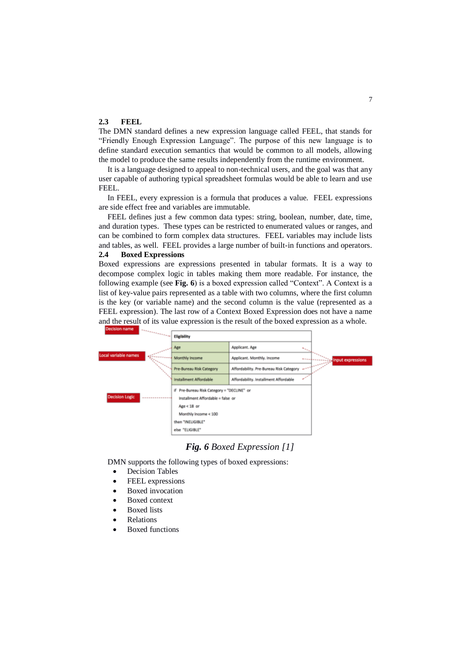#### **2.3 FEEL**

The DMN standard defines a new expression language called FEEL, that stands for "Friendly Enough Expression Language". The purpose of this new language is to define standard execution semantics that would be common to all models, allowing the model to produce the same results independently from the runtime environment.

It is a language designed to appeal to non-technical users, and the goal was that any user capable of authoring typical spreadsheet formulas would be able to learn and use FEEL.

In FEEL, every expression is a formula that produces a value. FEEL expressions are side effect free and variables are immutable.

FEEL defines just a few common data types: string, boolean, number, date, time, and duration types. These types can be restricted to enumerated values or ranges, and can be combined to form complex data structures. FEEL variables may include lists and tables, as well. FEEL provides a large number of built-in functions and operators.

## **2.4 Boxed Expressions**

Boxed expressions are expressions presented in tabular formats. It is a way to decompose complex logic in tables making them more readable. For instance, the following example (see **[Fig. 6](#page-6-0)**) is a boxed expression called "Context". A Context is a list of key-value pairs represented as a table with two columns, where the first column is the key (or variable name) and the second column is the value (represented as a FEEL expression). The last row of a Context Boxed Expression does not have a name and the result of its value expression is the result of the boxed expression as a whole.



*Fig. 6 Boxed Expression [\[1\]](#page-12-0)*

<span id="page-6-0"></span>DMN supports the following types of boxed expressions:

- Decision Tables
- FEEL expressions
- Boxed invocation
- Boxed context
- Boxed lists
- **Relations**
- **Boxed functions**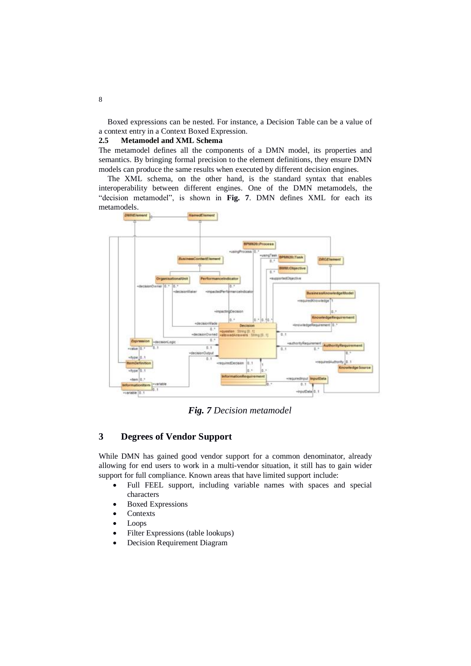Boxed expressions can be nested. For instance, a Decision Table can be a value of a context entry in a Context Boxed Expression.

## **2.5 Metamodel and XML Schema**

The metamodel defines all the components of a DMN model, its properties and semantics. By bringing formal precision to the element definitions, they ensure DMN models can produce the same results when executed by different decision engines.

The XML schema, on the other hand, is the standard syntax that enables interoperability between different engines. One of the DMN metamodels, the "decision metamodel", is shown in **[Fig. 7](#page-7-0)**. DMN defines XML for each its metamodels.



*Fig. 7 Decision metamodel*

## <span id="page-7-0"></span>**3 Degrees of Vendor Support**

While DMN has gained good vendor support for a common denominator, already allowing for end users to work in a multi-vendor situation, it still has to gain wider support for full compliance. Known areas that have limited support include:

- Full FEEL support, including variable names with spaces and special characters
- Boxed Expressions
- **Contexts**
- Loops
- Filter Expressions (table lookups)
- Decision Requirement Diagram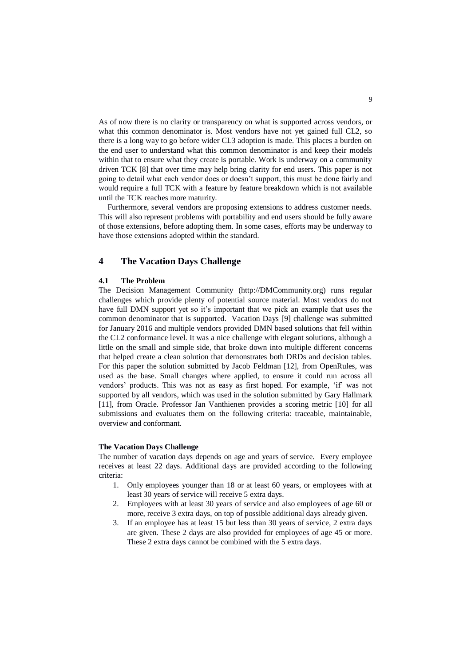As of now there is no clarity or transparency on what is supported across vendors, or what this common denominator is. Most vendors have not yet gained full CL2, so there is a long way to go before wider CL3 adoption is made. This places a burden on the end user to understand what this common denominator is and keep their models within that to ensure what they create is portable. Work is underway on a community driven TCK [\[8\]](#page-13-2) that over time may help bring clarity for end users. This paper is not going to detail what each vendor does or doesn't support, this must be done fairly and would require a full TCK with a feature by feature breakdown which is not available until the TCK reaches more maturity.

Furthermore, several vendors are proposing extensions to address customer needs. This will also represent problems with portability and end users should be fully aware of those extensions, before adopting them. In some cases, efforts may be underway to have those extensions adopted within the standard.

## **4 The Vacation Days Challenge**

#### **4.1 The Problem**

The Decision Management Community (http://DMCommunity.org) runs regular challenges which provide plenty of potential source material. Most vendors do not have full DMN support yet so it's important that we pick an example that uses the common denominator that is supported. Vacation Days [\[9\]](#page-13-3) challenge was submitted for January 2016 and multiple vendors provided DMN based solutions that fell within the CL2 conformance level. It was a nice challenge with elegant solutions, although a little on the small and simple side, that broke down into multiple different concerns that helped create a clean solution that demonstrates both DRDs and decision tables. For this paper the solution submitted by Jacob Feldman [\[12\]](#page-13-4), from OpenRules, was used as the base. Small changes where applied, to ensure it could run across all vendors' products. This was not as easy as first hoped. For example, 'if' was not supported by all vendors, which was used in the solution submitted by Gary Hallmark [\[11\]](#page-13-5), from Oracle. Professor Jan Vanthienen provides a scoring metric [\[10\]](#page-13-6) for all submissions and evaluates them on the following criteria: traceable, maintainable, overview and conformant.

#### **The Vacation Days Challenge**

The number of vacation days depends on age and years of service.Every employee receives at least 22 days. Additional days are provided according to the following criteria:

- 1. Only employees younger than 18 or at least 60 years, or employees with at least 30 years of service will receive 5 extra days.
- 2. Employees with at least 30 years of service and also employees of age 60 or more, receive 3 extra days, on top of possible additional days already given.
- 3. If an employee has at least 15 but less than 30 years of service, 2 extra days are given. These 2 days are also provided for employees of age 45 or more. These 2 extra days cannot be combined with the 5 extra days.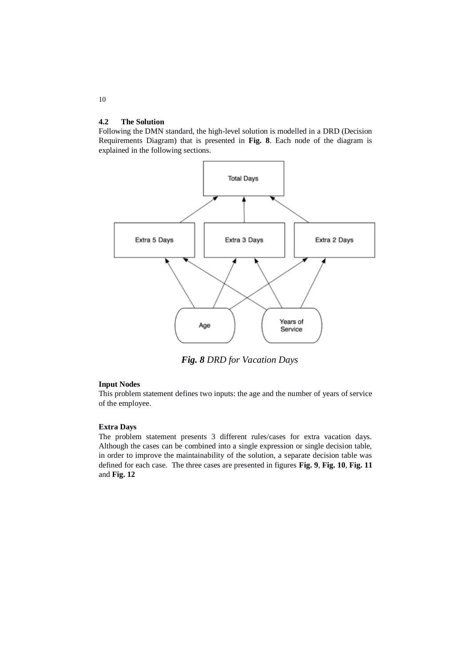## **4.2 The Solution**

Following the DMN standard, the high-level solution is modelled in a DRD (Decision Requirements Diagram) that is presented in **[Fig. 8](#page-9-0)**. Each node of the diagram is explained in the following sections.



*Fig. 8 DRD for Vacation Days*

## <span id="page-9-0"></span>**Input Nodes**

This problem statement defines two inputs: the age and the number of years of service of the employee.

### **Extra Days**

The problem statement presents 3 different rules/cases for extra vacation days. Although the cases can be combined into a single expression or single decision table, in order to improve the maintainability of the solution, a separate decision table was defined for each case. The three cases are presented in figures **[Fig. 9](#page-10-0)**, **[Fig. 10](#page-10-1)**, **[Fig. 11](#page-10-2)** and **[Fig. 12](#page-11-0)**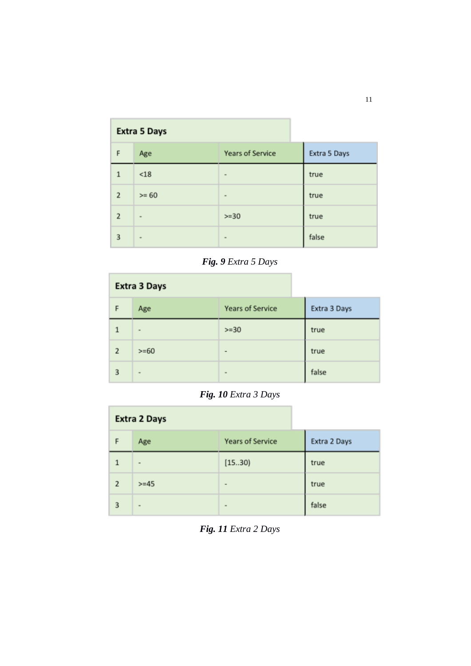| <b>Extra 5 Days</b> |                |                         |              |
|---------------------|----------------|-------------------------|--------------|
| F                   | Age            | <b>Years of Service</b> | Extra 5 Days |
| 1                   | < 18           | $\blacksquare$          | true         |
| $\overline{2}$      | $>= 60$        | $\,$                    | true         |
| $\overline{2}$      | $\equiv$       | $>=30$                  | true         |
| 3                   | $\blacksquare$ | $\blacksquare$          | false        |

*Fig. 9 Extra 5 Days*

<span id="page-10-0"></span>

| <b>Extra 3 Days</b> |                |                         |              |
|---------------------|----------------|-------------------------|--------------|
| F                   | Age            | <b>Years of Service</b> | Extra 3 Days |
|                     | $\blacksquare$ | $>=30$                  | true         |
| $\overline{2}$      | $>= 60$        | -                       | true         |
| 3                   | $\frac{1}{2}$  | $\frac{1}{2}$           | false        |

*Fig. 10 Extra 3 Days*

<span id="page-10-1"></span>

| <b>Extra 2 Days</b> |                |                         |              |
|---------------------|----------------|-------------------------|--------------|
|                     | Age            | <b>Years of Service</b> | Extra 2 Days |
| 1                   | ۰              | [1530]                  | true         |
| $\overline{2}$      | $>= 45$        | ۰                       | true         |
| 3                   | $\blacksquare$ | $\blacksquare$          | false        |

<span id="page-10-2"></span>*Fig. 11 Extra 2 Days*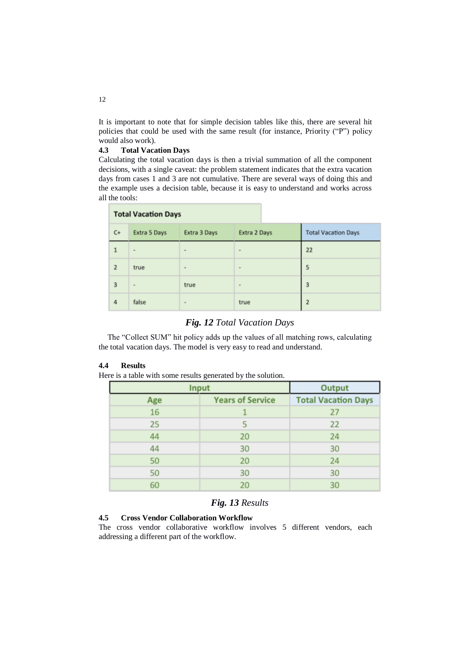It is important to note that for simple decision tables like this, there are several hit policies that could be used with the same result (for instance, Priority ("P") policy would also work).

### **4.3 Total Vacation Days**

Calculating the total vacation days is then a trivial summation of all the component decisions, with a single caveat: the problem statement indicates that the extra vacation days from cases 1 and 3 are not cumulative. There are several ways of doing this and the example uses a decision table, because it is easy to understand and works across all the tools:

| <b>Total Vacation Days</b> |                          |                |              |                            |
|----------------------------|--------------------------|----------------|--------------|----------------------------|
| $C+$                       | Extra 5 Days             | Extra 3 Days   | Extra 2 Days | <b>Total Vacation Days</b> |
| 1                          | $\overline{\phantom{a}}$ | ٠              | $\sim$       | 22                         |
| $\overline{2}$             | true                     | $\sim$         | $\sim$       | 5                          |
| $\overline{3}$             | $\equiv$                 | true           | $\sim$       | $\overline{\mathbf{3}}$    |
| $\overline{4}$             | false                    | $\blacksquare$ | true         | $\overline{2}$             |

## *Fig. 12 Total Vacation Days*

<span id="page-11-0"></span>The "Collect SUM" hit policy adds up the values of all matching rows, calculating the total vacation days. The model is very easy to read and understand.

#### **4.4 Results**

Here is a table with some results generated by the solution.

| Input |                         | Output                     |
|-------|-------------------------|----------------------------|
| Age   | <b>Years of Service</b> | <b>Total Vacation Days</b> |
| 16    |                         | 27                         |
| 25    | 5                       | 22                         |
| 44    | 20                      | 24                         |
| 44    | 30                      | 30                         |
| 50    | 20                      | 24                         |
| 50    | 30                      | 30                         |
| 60    | 20                      | 30                         |

# *Fig. 13 Results*

## **4.5 Cross Vendor Collaboration Workflow**

The cross vendor collaborative workflow involves 5 different vendors, each addressing a different part of the workflow.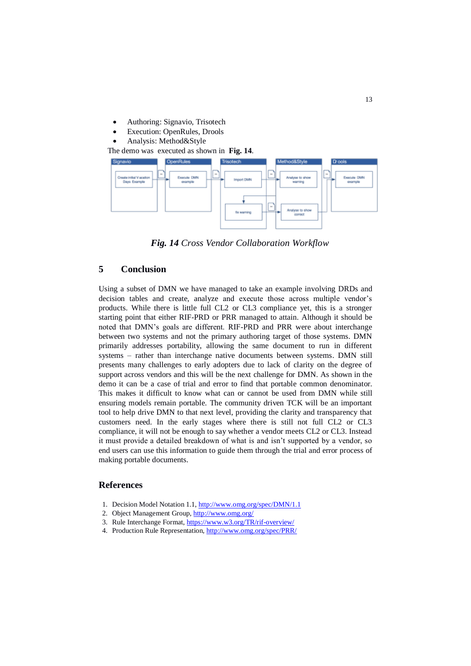

*Fig. 14 Cross Vendor Collaboration Workflow*

## <span id="page-12-2"></span>**5 Conclusion**

Using a subset of DMN we have managed to take an example involving DRDs and decision tables and create, analyze and execute those across multiple vendor's products. While there is little full CL2 or CL3 compliance yet, this is a stronger starting point that either RIF-PRD or PRR managed to attain. Although it should be noted that DMN's goals are different. RIF-PRD and PRR were about interchange between two systems and not the primary authoring target of those systems. DMN primarily addresses portability, allowing the same document to run in different systems – rather than interchange native documents between systems. DMN still presents many challenges to early adopters due to lack of clarity on the degree of support across vendors and this will be the next challenge for DMN. As shown in the demo it can be a case of trial and error to find that portable common denominator. This makes it difficult to know what can or cannot be used from DMN while still ensuring models remain portable. The community driven TCK will be an important tool to help drive DMN to that next level, providing the clarity and transparency that customers need. In the early stages where there is still not full CL2 or CL3 compliance, it will not be enough to say whether a vendor meets CL2 or CL3. Instead it must provide a detailed breakdown of what is and isn't supported by a vendor, so end users can use this information to guide them through the trial and error process of making portable documents.

# **References**

- <span id="page-12-0"></span>1. Decision Model Notation 1.1,<http://www.omg.org/spec/DMN/1.1>
- <span id="page-12-1"></span>2. Object Management Group[, http://www.omg.org/](http://www.omg.org/)
- 3. Rule Interchange Format,<https://www.w3.org/TR/rif-overview/>
- 4. Production Rule Representation,<http://www.omg.org/spec/PRR/>